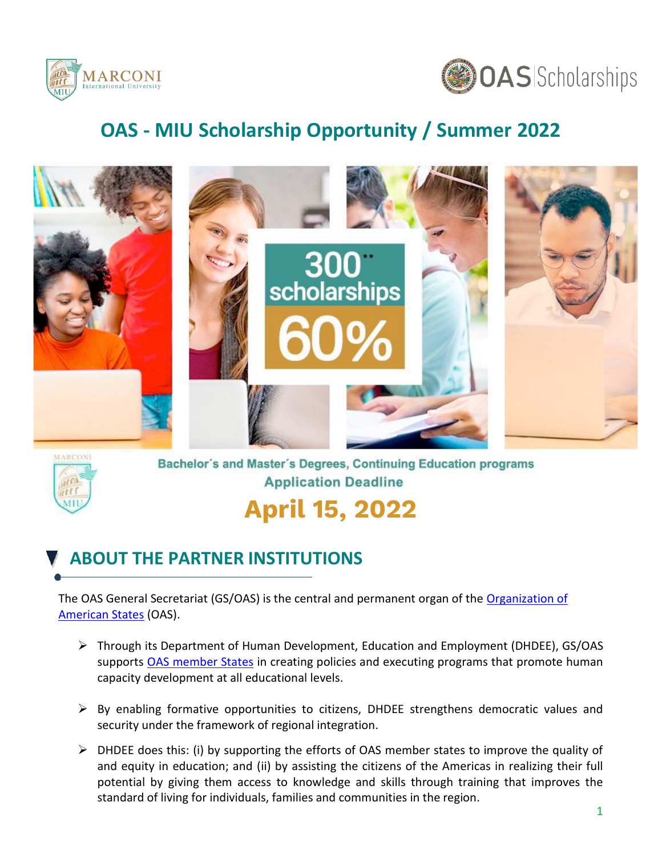



# **OAS - MIU Scholarship Opportunity / Summer 2022**



![](_page_0_Picture_4.jpeg)

Bachelor's and Master's Degrees, Continuing Education programs **Application Deadline** 

# **April 15, 2022**

### **ABOUT THE PARTNER INSTITUTIONS**

The OAS General Secretariat (GS/OAS) is the central and permanent organ of the [Organization of](http://www.oas.org/en/) [American States](http://www.oas.org/en/) (OAS).

- ➢ Through its Department of Human Development, Education and Employment (DHDEE), GS/OAS supports [OAS member States](http://www.oas.org/en/member_states/default.asp) in creating policies and executing programs that promote human capacity development at all educational levels.
- $\triangleright$  By enabling formative opportunities to citizens, DHDEE strengthens democratic values and security under the framework of regional integration.
- ➢ DHDEE does this: (i) by supporting the efforts of OAS member states to improve the quality of and equity in education; and (ii) by assisting the citizens of the Americas in realizing their full potential by giving them access to knowledge and skills through training that improves the standard of living for individuals, families and communities in the region.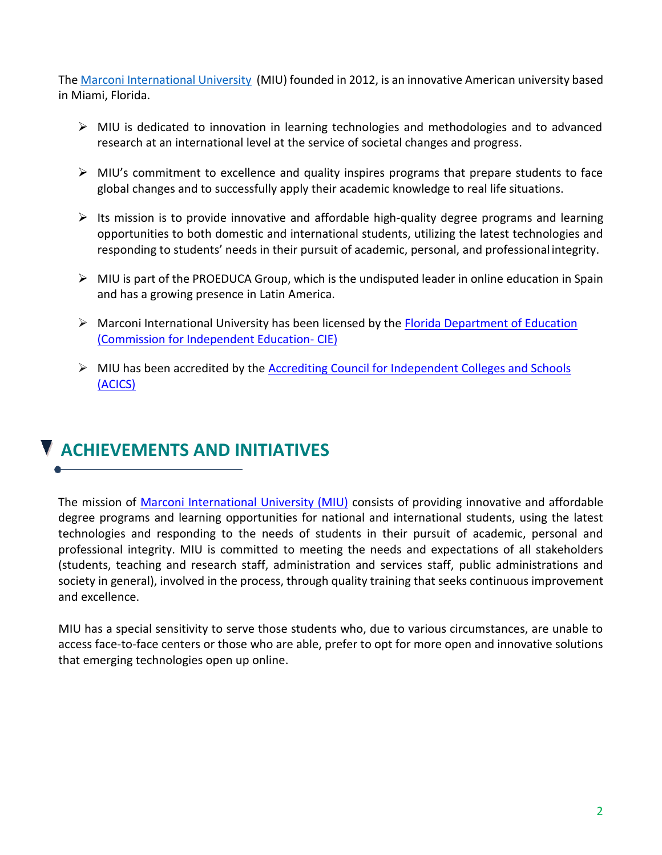The [Marconi International University](file:///C:/Users/JHoogdorp/AppData/Local/Microsoft/Windows/INetCache/Content.Outlook/W36OKZGT/%22https:/miuniversity.edu/%3futm_source=other&utm_medium=web&utm_content=pdf&utm_campaign=othermarconi_pdfen_gen_oea_web) (MIU) founded in 2012, is an innovative American university based in Miami, Florida.

- ➢ MIU is dedicated to innovation in learning technologies and methodologies and to advanced research at an international level at the service of societal changes and progress.
- $\triangleright$  MIU's commitment to excellence and quality inspires programs that prepare students to face global changes and to successfully apply their academic knowledge to real life situations.
- $\triangleright$  Its mission is to provide innovative and affordable high-quality degree programs and learning opportunities to both domestic and international students, utilizing the latest technologies and responding to students' needs in their pursuit of academic, personal, and professional integrity.
- $\triangleright$  MIU is part of the PROEDUCA Group, which is the undisputed leader in online education in Spain and has a growing presence in Latin America.
- $\triangleright$  Marconi International University has been licensed by the [Florida Department of Education](https://web02.fldoe.org/CIE/SearchSchools/SchoolSearchDetail.aspx?schoolID=5359) [\(Commission for Independent Education-](https://web02.fldoe.org/CIE/SearchSchools/SchoolSearchDetail.aspx?schoolID=5359) CIE)
- ➢ MIU has been accredited by the [Accrediting Council for Independent Colleges and Schools](http://personify.acics.org/Default.aspx?TabID=204) [\(ACICS\)](http://personify.acics.org/Default.aspx?TabID=204)

### **ACHIEVEMENTS AND INITIATIVES**

The mission of [Marconi International University \(MIU\)](https://miuniversity.edu/about-us/?utm_source=other&utm_medium=web&utm_content=pdf&utm_campaign=othermarconi_pdfen_gen_oea_web) consists of providing innovative and affordable degree programs and learning opportunities for national and international students, using the latest technologies and responding to the needs of students in their pursuit of academic, personal and professional integrity. MIU is committed to meeting the needs and expectations of all stakeholders (students, teaching and research staff, administration and services staff, public administrations and society in general), involved in the process, through quality training that seeks continuous improvement and excellence.

MIU has a special sensitivity to serve those students who, due to various circumstances, are unable to access face-to-face centers or those who are able, prefer to opt for more open and innovative solutions that emerging technologies open up online.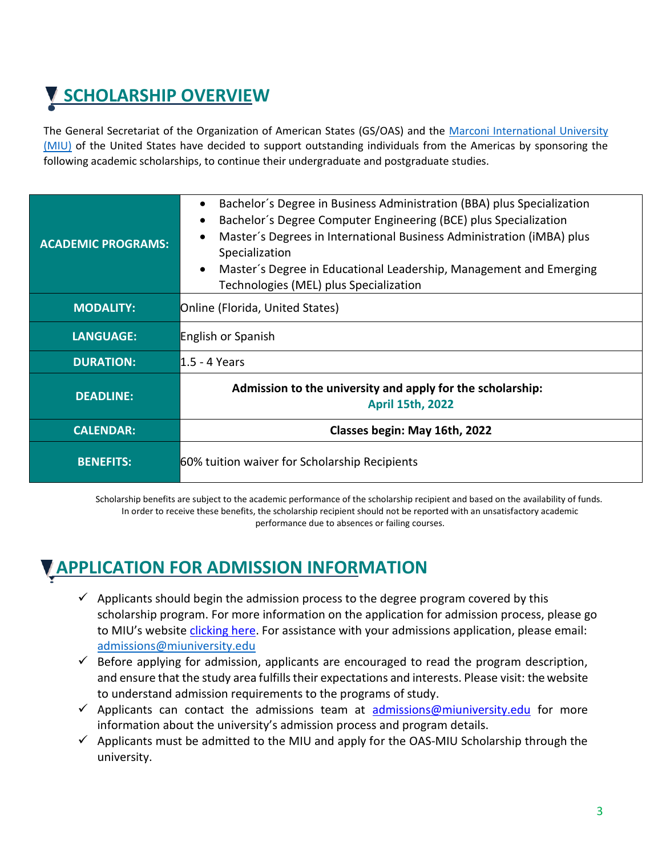# **SCHOLARSHIP OVERVIEW**

The General Secretariat of the Organization of American States (GS/OAS) and the [Marconi International University](https://miuniversity.edu/academic-programs/?utm_source=other&utm_medium=web&utm_content=pdf&utm_campaign=othermarconi_pdfen_gen_oea_web)  [\(MIU\)](https://miuniversity.edu/academic-programs/?utm_source=other&utm_medium=web&utm_content=pdf&utm_campaign=othermarconi_pdfen_gen_oea_web) of the United States have decided to support outstanding individuals from the Americas by sponsoring the following academic scholarships, to continue their undergraduate and postgraduate studies.

| <b>ACADEMIC PROGRAMS:</b> | Bachelor's Degree in Business Administration (BBA) plus Specialization<br>Bachelor's Degree Computer Engineering (BCE) plus Specialization<br>Master's Degrees in International Business Administration (iMBA) plus<br>Specialization<br>Master's Degree in Educational Leadership, Management and Emerging<br>Technologies (MEL) plus Specialization |  |  |  |  |  |
|---------------------------|-------------------------------------------------------------------------------------------------------------------------------------------------------------------------------------------------------------------------------------------------------------------------------------------------------------------------------------------------------|--|--|--|--|--|
| <b>MODALITY:</b>          | Online (Florida, United States)                                                                                                                                                                                                                                                                                                                       |  |  |  |  |  |
| <b>LANGUAGE:</b>          | <b>English or Spanish</b>                                                                                                                                                                                                                                                                                                                             |  |  |  |  |  |
| <b>DURATION:</b>          | l1.5 - 4 Years                                                                                                                                                                                                                                                                                                                                        |  |  |  |  |  |
| <b>DEADLINE:</b>          | Admission to the university and apply for the scholarship:<br><b>April 15th, 2022</b>                                                                                                                                                                                                                                                                 |  |  |  |  |  |
| <b>CALENDAR:</b>          | Classes begin: May 16th, 2022                                                                                                                                                                                                                                                                                                                         |  |  |  |  |  |
| <b>BENEFITS:</b>          | 60% tuition waiver for Scholarship Recipients                                                                                                                                                                                                                                                                                                         |  |  |  |  |  |

Scholarship benefits are subject to the academic performance of the scholarship recipient and based on the availability of funds. In order to receive these benefits, the scholarship recipient should not be reported with an unsatisfactory academic performance due to absences or failing courses.

### **APPLICATION FOR ADMISSION INFORMATION**

- $\checkmark$  Applicants should begin the admission process to the degree program covered by this scholarship program. For more information on the application for admission process, please go to MIU's website [clicking here.](https://miuniversity.edu/admission/?utm_source=other&utm_medium=web&utm_content=pdf&utm_campaign=othermarconi_pdfen_gen_oea_web) For assistance with your admissions application, please email[:](mailto:%20admissions@miuniversity.edu) [admissions@miuniversity.edu](mailto:%20admissions@miuniversity.edu)
- $\checkmark$  Before applying for admission, applicants are encouraged to read the program description, and ensure that the study area fulfills their expectations and interests. Please visit: the website to understand admission requirements to the programs of study.
- $\checkmark$  Applicants can contact the admissions team at [admissions@miuniversity.edu](mailto:admissions@miuniversity.edu) for more information about the university's admission process and program details.
- $\checkmark$  Applicants must be admitted to the MIU and apply for the OAS-MIU Scholarship through the university.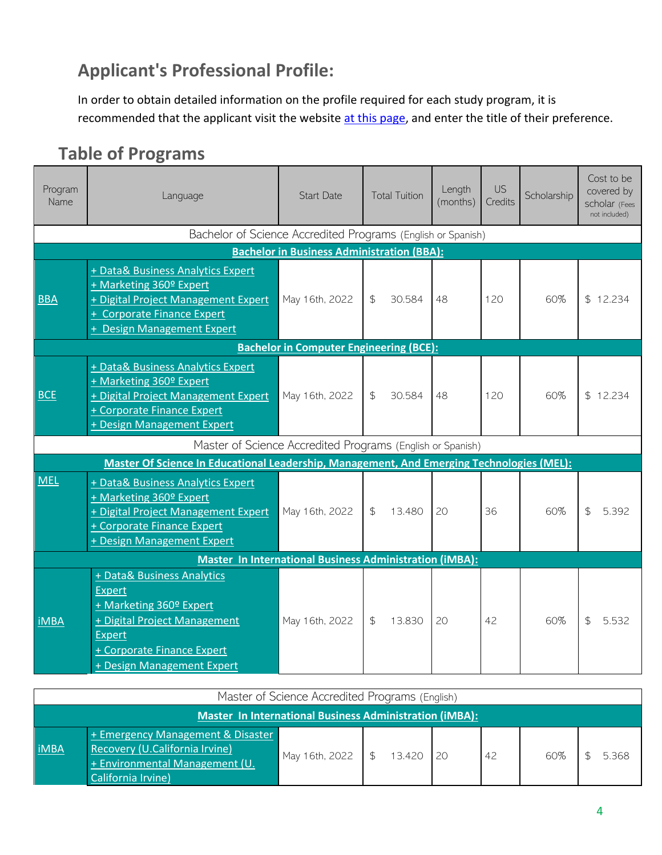### **Applicant's Professional Profile:**

In order to obtain detailed information on the profile required for each study program, it is recommended that the applicant visit the website [at this page,](https://miuniversity.edu/academic-programs/?utm_source=other&utm_medium=web&utm_content=pdf&utm_campaign=othermarconi_pdfen_gen_oea_web) and enter the title of their preference.

### **Table of Programs**

| Program<br>Name                                                | <b>Start Date</b><br>Language                                                                                                                                                       |                                                   | <b>Total Tuition</b> |        | <b>US</b><br>Length<br>(months)<br>Credits |     | Scholarship | Cost to be<br>covered by<br>scholar (Fees<br>not included) |  |
|----------------------------------------------------------------|-------------------------------------------------------------------------------------------------------------------------------------------------------------------------------------|---------------------------------------------------|----------------------|--------|--------------------------------------------|-----|-------------|------------------------------------------------------------|--|
|                                                                | Bachelor of Science Accredited Programs (English or Spanish)                                                                                                                        |                                                   |                      |        |                                            |     |             |                                                            |  |
|                                                                |                                                                                                                                                                                     | <b>Bachelor in Business Administration (BBA):</b> |                      |        |                                            |     |             |                                                            |  |
| <b>BBA</b>                                                     | + Data& Business Analytics Expert<br>+ Marketing 360º Expert<br>+ Digital Project Management Expert<br>+ Corporate Finance Expert<br>+ Design Management Expert                     | May 16th, 2022                                    | $\mathfrak{S}$       | 30.584 | 48                                         | 120 | 60%         | \$12.234                                                   |  |
|                                                                | <b>Bachelor in Computer Engineering (BCE):</b>                                                                                                                                      |                                                   |                      |        |                                            |     |             |                                                            |  |
| <b>BCE</b>                                                     | + Data& Business Analytics Expert<br>+ Marketing 360º Expert<br>+ Digital Project Management Expert<br>+ Corporate Finance Expert<br>+ Design Management Expert                     | May 16th, 2022                                    | $\mathfrak{L}$       | 30.584 | 48                                         | 120 | 60%         | \$12.234                                                   |  |
|                                                                | Master of Science Accredited Programs (English or Spanish)                                                                                                                          |                                                   |                      |        |                                            |     |             |                                                            |  |
|                                                                | Master Of Science In Educational Leadership, Management, And Emerging Technologies (MEL):                                                                                           |                                                   |                      |        |                                            |     |             |                                                            |  |
| <b>MEL</b>                                                     | + Data& Business Analytics Expert<br>+ Marketing 360º Expert<br>+ Digital Project Management Expert<br>+ Corporate Finance Expert<br>+ Design Management Expert                     | May 16th, 2022                                    | $\mathfrak{L}$       | 13.480 | 20                                         | 36  | 60%         | $\mathfrak{L}$<br>5.392                                    |  |
| <b>Master In International Business Administration (iMBA):</b> |                                                                                                                                                                                     |                                                   |                      |        |                                            |     |             |                                                            |  |
| <b>iMBA</b>                                                    | + Data& Business Analytics<br><b>Expert</b><br>+ Marketing 360º Expert<br>+ Digital Project Management<br><b>Expert</b><br>+ Corporate Finance Expert<br>+ Design Management Expert | May 16th, 2022                                    | $\mathfrak{S}$       | 13.830 | 20                                         | 42  | 60%         | $\mathfrak{S}$<br>5.532                                    |  |

| Master of Science Accredited Programs (English) |                                                                                                                               |                             |  |  |  |     |     |  |       |
|-------------------------------------------------|-------------------------------------------------------------------------------------------------------------------------------|-----------------------------|--|--|--|-----|-----|--|-------|
|                                                 | Master In International Business Administration (iMBA):                                                                       |                             |  |  |  |     |     |  |       |
| <b>iMBA</b>                                     | + Emergency Management & Disaster<br>Recovery (U.California Irvine)<br>$+$ Environmental Management (U.<br>California Irvine) | May 16th, 2022 \$ 13.420 20 |  |  |  | -42 | 60% |  | 5.368 |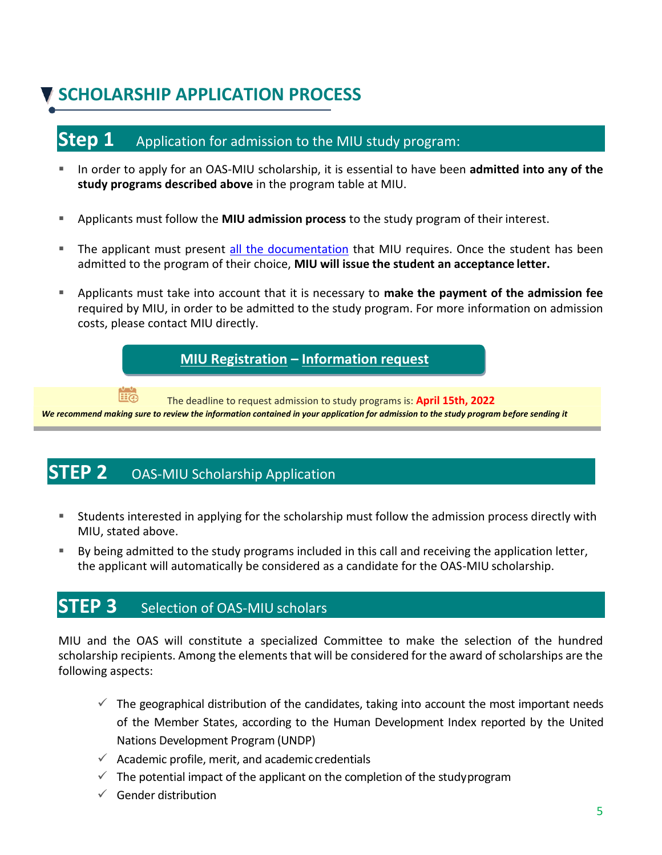## **SCHOLARSHIP APPLICATION PROCESS**

### **Step 1** Application for admission to the MIU study program:

- In order to apply for an OAS-MIU scholarship, it is essential to have been **admitted into any of the study programs described above** in the program table at MIU.
- Applicants must follow the **MIU admission process** to the study program of their interest.
- **The applicant must present [all the documentation](https://miuniversity.edu/admission/international-students/online/?utm_source=other&utm_medium=web&utm_content=pdf&utm_campaign=othermarconi_pdfen_gen_oea_web) that MIU requires. Once the student has been** admitted to the program of their choice, **MIU will issue the student an acceptance letter.**
- Applicants must take into account that it is necessary to **make the payment of the admission fee**  required by MIU, in order to be admitted to the study program. For more information on admission costs, please contact MIU directly.

**[MIU Registration](https://crm.miuniversity.edu/application-%20form/?utm_source=other&utm_medium=web&utm_content=pdf&utm_campaign=othermarconi_pdfen_gen_oea_web) – [Information request](https://miuniversity.edu/contact/?utm_source=other&utm_medium=web&utm_content=pdf&utm_campaign=othermarconi_pdfen_gen_oea_web)**

The deadline to request admission to study programs is: **April 15th, 2022**

*We recommend making sure to review the information contained in your application for admission to the study program before sending it*

### **STEP 2** OAS-MIU Scholarship Application

- **EXT** Students interested in applying for the scholarship must follow the admission process directly with MIU, stated above.
- By being admitted to the study programs included in this call and receiving the application letter, the applicant will automatically be considered as a candidate for the OAS-MIU scholarship.

#### **STEP 3** Selection of OAS-MIU scholars

MIU and the OAS will constitute a specialized Committee to make the selection of the hundred scholarship recipients. Among the elements that will be considered for the award of scholarships are the following aspects:

- $\checkmark$  The geographical distribution of the candidates, taking into account the most important needs of the Member States, according to the Human Development Index reported by the United Nations Development Program (UNDP)
- $\checkmark$  Academic profile, merit, and academic credentials
- $\checkmark$  The potential impact of the applicant on the completion of the studyprogram
- $\checkmark$  Gender distribution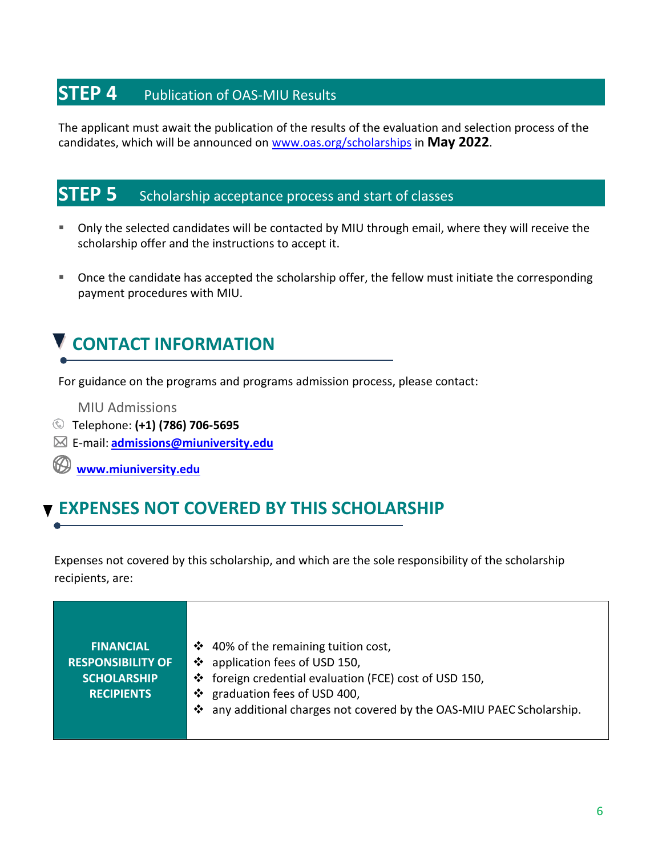### **STEP 4** Publication of OAS-MIU Results

The applicant must await the publication of the results of the evaluation and selection process of the candidates, which will be announced on [www.oas.org/scholarships](http://www.oas.org/scholarships) in **May 2022**.

### **STEP 5** Scholarship acceptance process and start of classes

- Only the selected candidates will be contacted by MIU through email, where they will receive the scholarship offer and the instructions to accept it.
- Once the candidate has accepted the scholarship offer, the fellow must initiate the corresponding payment procedures with MIU.

# **CONTACT INFORMATION**

For guidance on the programs and programs admission process, please contact:

MIU Admissions

- Telephone: **(+1) (786) 706-5695**
- E-mail: **[admissions@miuniversity.edu](mailto:admissions@miuniversity.edu)**

 $\circledR$ **[www.miuniversity.edu](http://www.miuniversity.edu/?utm_source=other&utm_medium=web&utm_content=pdf&utm_campaign=othermarconi_pdfen_gen_oea_web)**

### **EXPENSES NOT COVERED BY THIS SCHOLARSHIP**

Expenses not covered by this scholarship, and which are the sole responsibility of the scholarship recipients, are:

| <b>FINANCIAL</b>         | ❖ 40% of the remaining tuition cost,                                  |
|--------------------------|-----------------------------------------------------------------------|
| <b>RESPONSIBILITY OF</b> | ❖ application fees of USD 150,                                        |
| <b>SCHOLARSHIP</b>       | ❖ foreign credential evaluation (FCE) cost of USD 150,                |
| <b>RECIPIENTS</b>        | ❖ graduation fees of USD 400,                                         |
|                          | ❖ any additional charges not covered by the OAS-MIU PAEC Scholarship. |
|                          |                                                                       |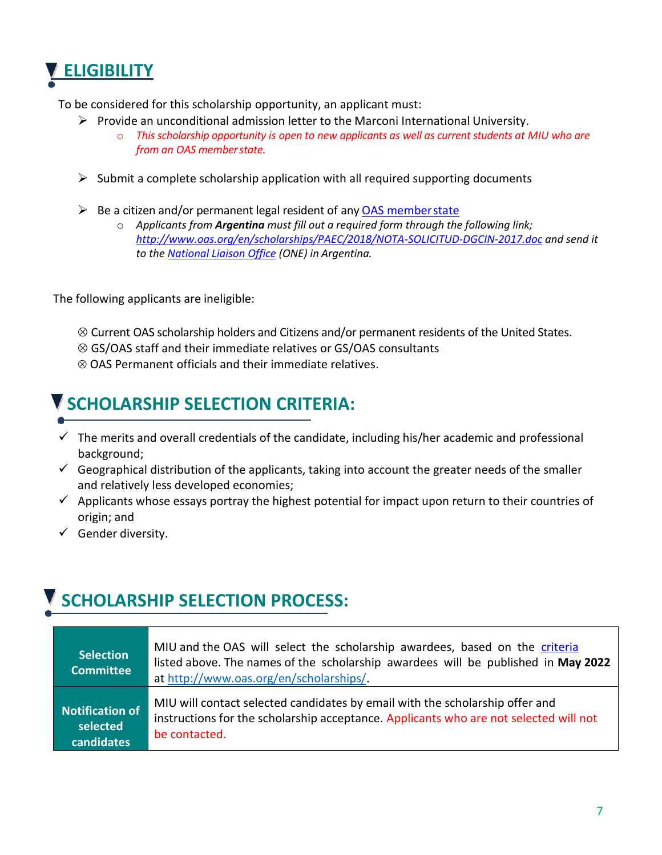# **ELIGIBILITY**

To be considered for this scholarship opportunity, an applicant must:

- $\triangleright$  Provide an unconditional admission letter to the Marconi International University.
	- o *This scholarship opportunity is open to new applicants as well as current students at MIU who are from an OAS memberstate.*
- $\triangleright$  Submit a complete scholarship application with all required supporting documents
- $\triangleright$  Be a citizen and/or permanent legal resident of any [OAS memberstate](http://www.oas.org/en/member_states/default.asp)
	- o *Applicants from Argentina must fill out a required form through the following link; <http://www.oas.org/en/scholarships/PAEC/2018/NOTA-SOLICITUD-DGCIN-2017.doc> and send it to the [National Liaison Office](http://www.oas.org/en/scholarships/regularprogram/one.asp) (ONE) in Argentina.*

The following applicants are ineligible:

- $\otimes$  Current OAS scholarship holders and Citizens and/or permanent residents of the United States.
- GS/OAS staff and their immediate relatives or GS/OAS consultants
- $\otimes$  OAS Permanent officials and their immediate relatives.

# **SCHOLARSHIP SELECTION CRITERIA:**

- $\checkmark$  The merits and overall credentials of the candidate, including his/her academic and professional background;
- $\checkmark$  Geographical distribution of the applicants, taking into account the greater needs of the smaller and relatively less developed economies;
- $\checkmark$  Applicants whose essays portray the highest potential for impact upon return to their countries of origin; and
- $\checkmark$  Gender diversity.

# **SCHOLARSHIP SELECTION PROCESS:**

| <b>Selection</b><br><b>Committee</b> | MIU and the OAS will select the scholarship awardees, based on the criteria<br>listed above. The names of the scholarship awardees will be published in May 2022<br>at http://www.oas.org/en/scholarships/. |
|--------------------------------------|-------------------------------------------------------------------------------------------------------------------------------------------------------------------------------------------------------------|
| <b>Notification of</b>               | MIU will contact selected candidates by email with the scholarship offer and                                                                                                                                |
| selected                             | instructions for the scholarship acceptance. Applicants who are not selected will not                                                                                                                       |
| candidates                           | be contacted.                                                                                                                                                                                               |